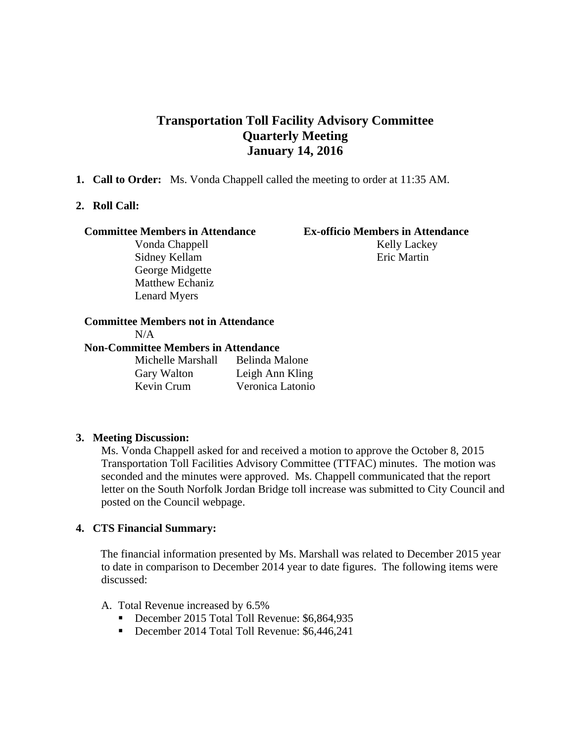# **Transportation Toll Facility Advisory Committee Quarterly Meeting January 14, 2016**

**1. Call to Order:** Ms. Vonda Chappell called the meeting to order at 11:35 AM.

### **2. Roll Call:**

#### **Committee Members in Attendance Ex-officio Members in Attendance**

George Midgette Matthew Echaniz Lenard Myers

Vonda Chappell Kelly Lackey Sidney Kellam Eric Martin

# **Committee Members not in Attendance**

 $N/A$ 

### **Non-Committee Members in Attendance**

Michelle Marshall Belinda Malone Gary Walton Leigh Ann Kling Kevin Crum Veronica Latonio

### **3. Meeting Discussion:**

Ms. Vonda Chappell asked for and received a motion to approve the October 8, 2015 Transportation Toll Facilities Advisory Committee (TTFAC) minutes. The motion was seconded and the minutes were approved. Ms. Chappell communicated that the report letter on the South Norfolk Jordan Bridge toll increase was submitted to City Council and posted on the Council webpage.

### **4. CTS Financial Summary:**

 The financial information presented by Ms. Marshall was related to December 2015 year to date in comparison to December 2014 year to date figures. The following items were discussed:

#### A. Total Revenue increased by 6.5%

- December 2015 Total Toll Revenue: \$6,864,935
- December 2014 Total Toll Revenue: \$6,446,241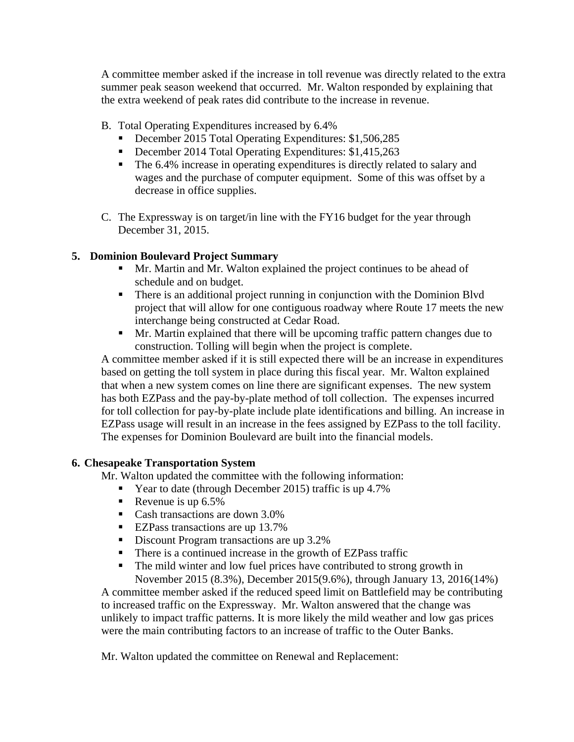A committee member asked if the increase in toll revenue was directly related to the extra summer peak season weekend that occurred. Mr. Walton responded by explaining that the extra weekend of peak rates did contribute to the increase in revenue.

- B. Total Operating Expenditures increased by 6.4%
	- December 2015 Total Operating Expenditures: \$1,506,285
	- December 2014 Total Operating Expenditures: \$1,415,263
	- The 6.4% increase in operating expenditures is directly related to salary and wages and the purchase of computer equipment. Some of this was offset by a decrease in office supplies.
- C. The Expressway is on target/in line with the FY16 budget for the year through December 31, 2015.

# **5. Dominion Boulevard Project Summary**

- Mr. Martin and Mr. Walton explained the project continues to be ahead of schedule and on budget.
- There is an additional project running in conjunction with the Dominion Blvd project that will allow for one contiguous roadway where Route 17 meets the new interchange being constructed at Cedar Road.
- Mr. Martin explained that there will be upcoming traffic pattern changes due to construction. Tolling will begin when the project is complete.

 A committee member asked if it is still expected there will be an increase in expenditures based on getting the toll system in place during this fiscal year. Mr. Walton explained that when a new system comes on line there are significant expenses. The new system has both EZPass and the pay-by-plate method of toll collection. The expenses incurred for toll collection for pay-by-plate include plate identifications and billing. An increase in EZPass usage will result in an increase in the fees assigned by EZPass to the toll facility. The expenses for Dominion Boulevard are built into the financial models.

## **6. Chesapeake Transportation System**

Mr. Walton updated the committee with the following information:

- Year to date (through December 2015) traffic is up 4.7%
- Revenue is up  $6.5\%$
- Cash transactions are down 3.0%
- EZPass transactions are up 13.7%
- Discount Program transactions are up 3.2%
- There is a continued increase in the growth of EZPass traffic
- The mild winter and low fuel prices have contributed to strong growth in November 2015 (8.3%), December 2015(9.6%), through January 13, 2016(14%)

A committee member asked if the reduced speed limit on Battlefield may be contributing to increased traffic on the Expressway. Mr. Walton answered that the change was unlikely to impact traffic patterns. It is more likely the mild weather and low gas prices were the main contributing factors to an increase of traffic to the Outer Banks.

Mr. Walton updated the committee on Renewal and Replacement: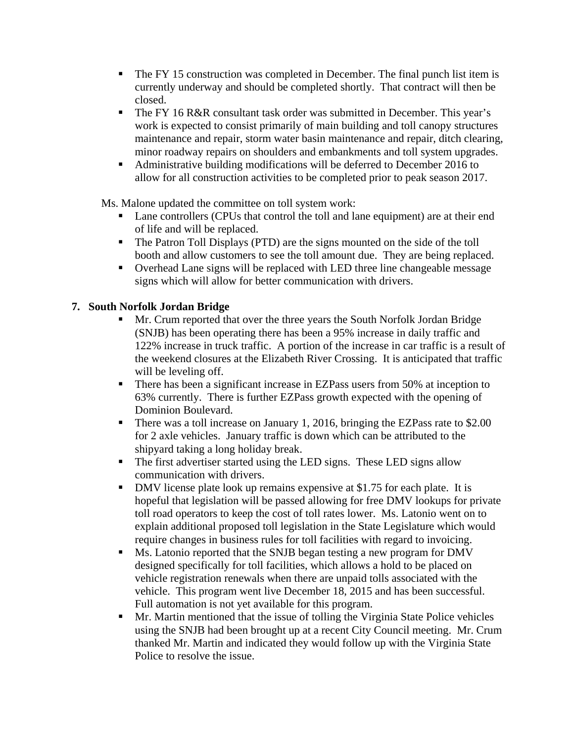- The FY 15 construction was completed in December. The final punch list item is currently underway and should be completed shortly. That contract will then be closed.
- The FY 16 R&R consultant task order was submitted in December. This year's work is expected to consist primarily of main building and toll canopy structures maintenance and repair, storm water basin maintenance and repair, ditch clearing, minor roadway repairs on shoulders and embankments and toll system upgrades.
- Administrative building modifications will be deferred to December 2016 to allow for all construction activities to be completed prior to peak season 2017.

Ms. Malone updated the committee on toll system work:

- Lane controllers (CPUs that control the toll and lane equipment) are at their end of life and will be replaced.
- The Patron Toll Displays (PTD) are the signs mounted on the side of the toll booth and allow customers to see the toll amount due. They are being replaced.
- Overhead Lane signs will be replaced with LED three line changeable message signs which will allow for better communication with drivers.

# **7. South Norfolk Jordan Bridge**

- Mr. Crum reported that over the three years the South Norfolk Jordan Bridge (SNJB) has been operating there has been a 95% increase in daily traffic and 122% increase in truck traffic. A portion of the increase in car traffic is a result of the weekend closures at the Elizabeth River Crossing. It is anticipated that traffic will be leveling off.
- There has been a significant increase in EZPass users from 50% at inception to 63% currently. There is further EZPass growth expected with the opening of Dominion Boulevard.
- There was a toll increase on January 1, 2016, bringing the EZPass rate to \$2.00 for 2 axle vehicles. January traffic is down which can be attributed to the shipyard taking a long holiday break.
- The first advertiser started using the LED signs. These LED signs allow communication with drivers.
- DMV license plate look up remains expensive at \$1.75 for each plate. It is hopeful that legislation will be passed allowing for free DMV lookups for private toll road operators to keep the cost of toll rates lower. Ms. Latonio went on to explain additional proposed toll legislation in the State Legislature which would require changes in business rules for toll facilities with regard to invoicing.
- Ms. Latonio reported that the SNJB began testing a new program for DMV designed specifically for toll facilities, which allows a hold to be placed on vehicle registration renewals when there are unpaid tolls associated with the vehicle. This program went live December 18, 2015 and has been successful. Full automation is not yet available for this program.
- **Mr.** Martin mentioned that the issue of tolling the Virginia State Police vehicles using the SNJB had been brought up at a recent City Council meeting. Mr. Crum thanked Mr. Martin and indicated they would follow up with the Virginia State Police to resolve the issue.